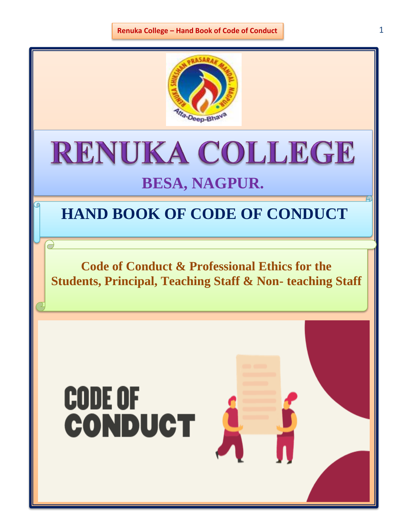

# RENUKA COLLEGE

## **BESA, NAGPUR.**

### **HAND BOOK OF CODE OF CONDUCT**

**Code of Conduct & Professional Ethics for the Students, Principal, Teaching Staff & Non- teaching Staff**

# **CODE OF CONDUCT**

 $\bigcirc$ 

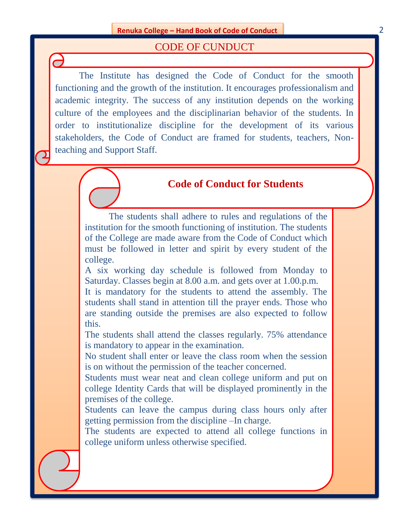#### CODE OF CUNDUCT

The Institute has designed the Code of Conduct for the smooth functioning and the growth of the institution. It encourages professionalism and academic integrity. The success of any institution depends on the working culture of the employees and the disciplinarian behavior of the students. In order to institutionalize discipline for the development of its various stakeholders, the Code of Conduct are framed for students, teachers, Nonteaching and Support Staff.

#### **Code of Conduct for Students**

The students shall adhere to rules and regulations of the institution for the smooth functioning of institution. The students of the College are made aware from the Code of Conduct which must be followed in letter and spirit by every student of the college.

A six working day schedule is followed from Monday to Saturday. Classes begin at 8.00 a.m. and gets over at 1.00.p.m.

It is mandatory for the students to attend the assembly. The students shall stand in attention till the prayer ends. Those who are standing outside the premises are also expected to follow this.

The students shall attend the classes regularly. 75% attendance is mandatory to appear in the examination.

No student shall enter or leave the class room when the session is on without the permission of the teacher concerned.

Students must wear neat and clean college uniform and put on college Identity Cards that will be displayed prominently in the premises of the college.

Students can leave the campus during class hours only after getting permission from the discipline –In charge.

The students are expected to attend all college functions in college uniform unless otherwise specified.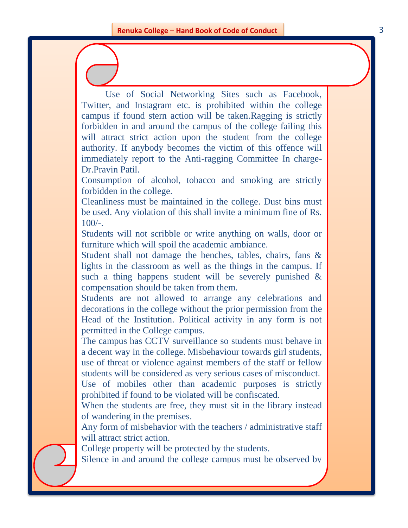Use of Social Networking Sites such as Facebook, Twitter, and Instagram etc. is prohibited within the college campus if found stern action will be taken.Ragging is strictly forbidden in and around the campus of the college failing this will attract strict action upon the student from the college authority. If anybody becomes the victim of this offence will immediately report to the Anti-ragging Committee In charge-Dr.Pravin Patil.

Consumption of alcohol, tobacco and smoking are strictly forbidden in the college.

Cleanliness must be maintained in the college. Dust bins must be used. Any violation of this shall invite a minimum fine of Rs.  $100/-$ .

Students will not scribble or write anything on walls, door or furniture which will spoil the academic ambiance.

Student shall not damage the benches, tables, chairs, fans & lights in the classroom as well as the things in the campus. If such a thing happens student will be severely punished & compensation should be taken from them.

Students are not allowed to arrange any celebrations and decorations in the college without the prior permission from the Head of the Institution. Political activity in any form is not permitted in the College campus.

The campus has CCTV surveillance so students must behave in a decent way in the college. Misbehaviour towards girl students, use of threat or violence against members of the staff or fellow students will be considered as very serious cases of misconduct. Use of mobiles other than academic purposes is strictly prohibited if found to be violated will be confiscated.

When the students are free, they must sit in the library instead of wandering in the premises.

Any form of misbehavior with the teachers / administrative staff will attract strict action.

College property will be protected by the students.

Silence in and around the college campus must be observed by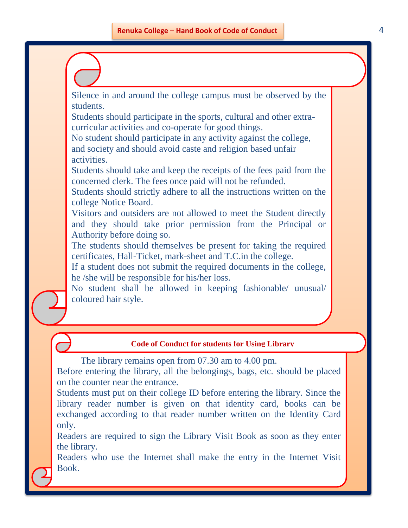Silence in and around the college campus must be observed by the students.

Students should participate in the sports, cultural and other extracurricular activities and co-operate for good things.

No student should participate in any activity against the college, and society and should avoid caste and religion based unfair activities.

Students should take and keep the receipts of the fees paid from the concerned clerk. The fees once paid will not be refunded.

Students should strictly adhere to all the instructions written on the college Notice Board.

Visitors and outsiders are not allowed to meet the Student directly and they should take prior permission from the Principal or Authority before doing so.

The students should themselves be present for taking the required certificates, Hall-Ticket, mark-sheet and T.C.in the college.

If a student does not submit the required documents in the college, he /she will be responsible for his/her loss.

No student shall be allowed in keeping fashionable/ unusual/ coloured hair style.

#### **Code of Conduct for students for Using Library**

The library remains open from 07.30 am to 4.00 pm.

Before entering the library, all the belongings, bags, etc. should be placed on the counter near the entrance.

Students must put on their college ID before entering the library. Since the library reader number is given on that identity card, books can be exchanged according to that reader number written on the Identity Card only.

Readers are required to sign the Library Visit Book as soon as they enter the library.

Readers who use the Internet shall make the entry in the Internet Visit Book.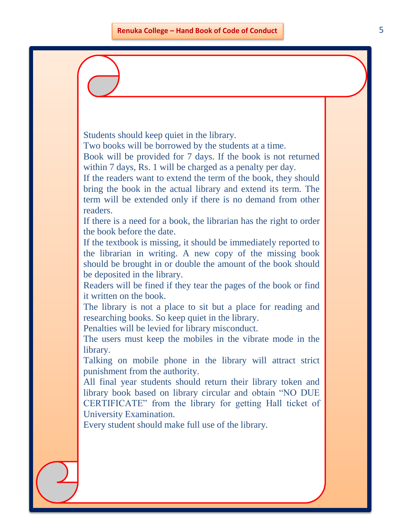Students should keep quiet in the library.

Two books will be borrowed by the students at a time.

Book will be provided for 7 days. If the book is not returned within 7 days, Rs. 1 will be charged as a penalty per day.

If the readers want to extend the term of the book, they should bring the book in the actual library and extend its term. The term will be extended only if there is no demand from other readers.

If there is a need for a book, the librarian has the right to order the book before the date.

If the textbook is missing, it should be immediately reported to the librarian in writing. A new copy of the missing book should be brought in or double the amount of the book should be deposited in the library.

Readers will be fined if they tear the pages of the book or find it written on the book.

The library is not a place to sit but a place for reading and researching books. So keep quiet in the library.

Penalties will be levied for library misconduct.

The users must keep the mobiles in the vibrate mode in the library.

Talking on mobile phone in the library will attract strict punishment from the authority.

All final year students should return their library token and library book based on library circular and obtain "NO DUE CERTIFICATE" from the library for getting Hall ticket of University Examination.

Every student should make full use of the library.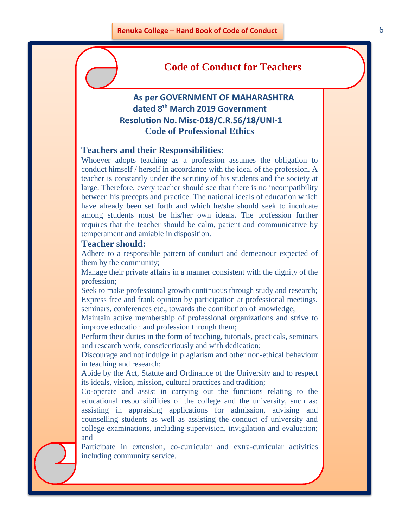#### **Code of Conduct for Teachers**

#### **As per GOVERNMENT OF MAHARASHTRA dated 8th March 2019 Government Resolution No. Misc-018/C.R.56/18/UNI-1 Code of Professional Ethics**

#### **Teachers and their Responsibilities:**

Whoever adopts teaching as a profession assumes the obligation to conduct himself / herself in accordance with the ideal of the profession. A teacher is constantly under the scrutiny of his students and the society at large. Therefore, every teacher should see that there is no incompatibility between his precepts and practice. The national ideals of education which have already been set forth and which he/she should seek to inculcate among students must be his/her own ideals. The profession further requires that the teacher should be calm, patient and communicative by temperament and amiable in disposition.

#### **Teacher should:**

Adhere to a responsible pattern of conduct and demeanour expected of them by the community;

Manage their private affairs in a manner consistent with the dignity of the profession;

Seek to make professional growth continuous through study and research; Express free and frank opinion by participation at professional meetings, seminars, conferences etc., towards the contribution of knowledge;

Maintain active membership of professional organizations and strive to improve education and profession through them;

Perform their duties in the form of teaching, tutorials, practicals, seminars and research work, conscientiously and with dedication;

Discourage and not indulge in plagiarism and other non-ethical behaviour in teaching and research;

Abide by the Act, Statute and Ordinance of the University and to respect its ideals, vision, mission, cultural practices and tradition;

Co-operate and assist in carrying out the functions relating to the educational responsibilities of the college and the university, such as: assisting in appraising applications for admission, advising and counselling students as well as assisting the conduct of university and college examinations, including supervision, invigilation and evaluation; and

Participate in extension, co-curricular and extra-curricular activities including community service.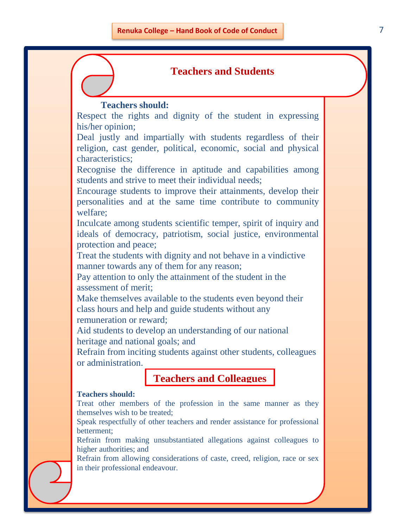#### **Teachers and Students**

#### **Teachers should:**

Respect the rights and dignity of the student in expressing his/her opinion;

Deal justly and impartially with students regardless of their religion, cast gender, political, economic, social and physical characteristics;

Recognise the difference in aptitude and capabilities among students and strive to meet their individual needs;

Encourage students to improve their attainments, develop their personalities and at the same time contribute to community welfare;

Inculcate among students scientific temper, spirit of inquiry and ideals of democracy, patriotism, social justice, environmental protection and peace;

Treat the students with dignity and not behave in a vindictive manner towards any of them for any reason;

Pay attention to only the attainment of the student in the assessment of merit;

Make themselves available to the students even beyond their class hours and help and guide students without any remuneration or reward;

Aid students to develop an understanding of our national heritage and national goals; and

Refrain from inciting students against other students, colleagues or administration.

**Teachers and Colleagues**

#### **Teachers should:**

Treat other members of the profession in the same manner as they themselves wish to be treated;

Speak respectfully of other teachers and render assistance for professional betterment;

Refrain from making unsubstantiated allegations against colleagues to higher authorities; and

Refrain from allowing considerations of caste, creed, religion, race or sex in their professional endeavour.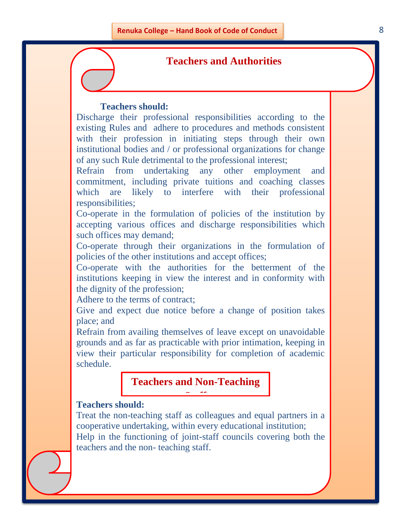#### **Teachers and Authorities**

#### **Teachers should:**

Discharge their professional responsibilities according to the existing Rules and adhere to procedures and methods consistent with their profession in initiating steps through their own institutional bodies and / or professional organizations for change of any such Rule detrimental to the professional interest;

Refrain from undertaking any other employment and commitment, including private tuitions and coaching classes which are likely to interfere with their professional responsibilities;

Co-operate in the formulation of policies of the institution by accepting various offices and discharge responsibilities which such offices may demand;

Co-operate through their organizations in the formulation of policies of the other institutions and accept offices;

Co-operate with the authorities for the betterment of the institutions keeping in view the interest and in conformity with the dignity of the profession;

Adhere to the terms of contract;

Give and expect due notice before a change of position takes place; and

Refrain from availing themselves of leave except on unavoidable grounds and as far as practicable with prior intimation, keeping in view their particular responsibility for completion of academic schedule.

#### **Teachers and Non-Teaching Staff**

#### **Teachers should:**

Treat the non-teaching staff as colleagues and equal partners in a cooperative undertaking, within every educational institution; Help in the functioning of joint-staff councils covering both the teachers and the non- teaching staff.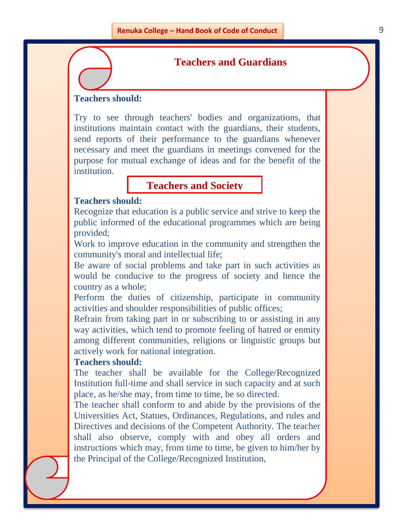#### **Teachers and Guardians**

#### **Teachers should:**

Try to see through teachers' bodies and organizations, that institutions maintain contact with the guardians, their students, send reports of their performance to the guardians whenever necessary and meet the guardians in meetings convened for the purpose for mutual exchange of ideas and for the benefit of the **institution** 

#### **Teachers and Society**

#### **Teachers should:**

Recognize that education is a public service and strive to keep the public informed of the educational programmes which are being provided;

Work to improve education in the community and strengthen the community's moral and intellectual life;

Be aware of social problems and take part in such activities as would be conducive to the progress of society and hence the country as a whole;

Perform the duties of citizenship, participate in community activities and shoulder responsibilities of public offices;

Refrain from taking part in or subscribing to or assisting in any way activities, which tend to promote feeling of hatred or enmity among different communities, religions or linguistic groups but actively work for national integration.

#### **Teachers should:**

The teacher shall be available for the College/Recognized Institution full-time and shall service in such capacity and at such place, as he/she may, from time to time, be so directed.

The teacher shall conform to and abide by the provisions of the Universities Act, Statues, Ordinances, Regulations, and rules and Directives and decisions of the Competent Authority. The teacher shall also observe, comply with and obey all orders and instructions which may, from time to time, be given to him/her by the Principal of the College/Recognized Institution,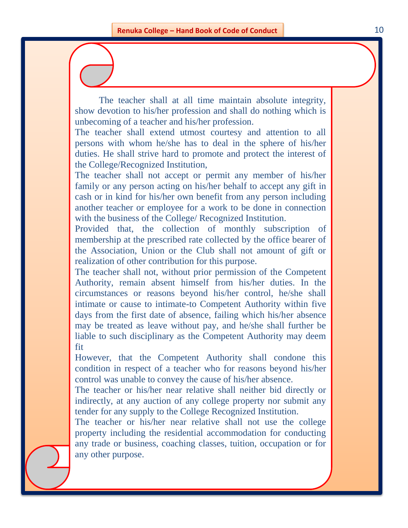The teacher shall at all time maintain absolute integrity, show devotion to his/her profession and shall do nothing which is unbecoming of a teacher and his/her profession.

The teacher shall extend utmost courtesy and attention to all persons with whom he/she has to deal in the sphere of his/her duties. He shall strive hard to promote and protect the interest of the College/Recognized Institution,

The teacher shall not accept or permit any member of his/her family or any person acting on his/her behalf to accept any gift in cash or in kind for his/her own benefit from any person including another teacher or employee for a work to be done in connection with the business of the College/ Recognized Institution.

Provided that, the collection of monthly subscription of membership at the prescribed rate collected by the office bearer of the Association, Union or the Club shall not amount of gift or realization of other contribution for this purpose.

The teacher shall not, without prior permission of the Competent Authority, remain absent himself from his/her duties. In the circumstances or reasons beyond his/her control, he/she shall intimate or cause to intimate-to Competent Authority within five days from the first date of absence, failing which his/her absence may be treated as leave without pay, and he/she shall further be liable to such disciplinary as the Competent Authority may deem fit

However, that the Competent Authority shall condone this condition in respect of a teacher who for reasons beyond his/her control was unable to convey the cause of his/her absence.

The teacher or his/her near relative shall neither bid directly or indirectly, at any auction of any college property nor submit any tender for any supply to the College Recognized Institution.

The teacher or his/her near relative shall not use the college property including the residential accommodation for conducting any trade or business, coaching classes, tuition, occupation or for any other purpose.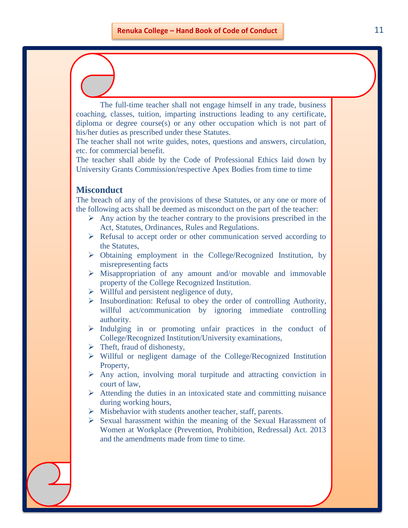The full-time teacher shall not engage himself in any trade, business coaching, classes, tuition, imparting instructions leading to any certificate, diploma or degree course(s) or any other occupation which is not part of his/her duties as prescribed under these Statutes.

The teacher shall not write guides, notes, questions and answers, circulation, etc. for commercial benefit.

The teacher shall abide by the Code of Professional Ethics laid down by University Grants Commission/respective Apex Bodies from time to time

#### **Misconduct**

The breach of any of the provisions of these Statutes, or any one or more of the following acts shall be deemed as misconduct on the part of the teacher:

- $\triangleright$  Any action by the teacher contrary to the provisions prescribed in the Act, Statutes, Ordinances, Rules and Regulations.
- $\triangleright$  Refusal to accept order or other communication served according to the Statutes,
- Obtaining employment in the College/Recognized Institution, by misrepresenting facts
- $\triangleright$  Misappropriation of any amount and/or movable and immovable property of the College Recognized Institution.
- $\triangleright$  Willful and persistent negligence of duty,
- $\triangleright$  Insubordination: Refusal to obey the order of controlling Authority, willful act/communication by ignoring immediate controlling authority.
- $\triangleright$  Indulging in or promoting unfair practices in the conduct of College/Recognized Institution/University examinations,
- $\triangleright$  Theft, fraud of dishonesty,
- Willful or negligent damage of the College/Recognized Institution Property,
- $\triangleright$  Any action, involving moral turpitude and attracting conviction in court of law,
- $\triangleright$  Attending the duties in an intoxicated state and committing nuisance during working hours,
- $\triangleright$  Misbehavior with students another teacher, staff, parents.
- $\triangleright$  Sexual harassment within the meaning of the Sexual Harassment of Women at Workplace (Prevention, Prohibition, Redressal) Act. 2013 and the amendments made from time to time.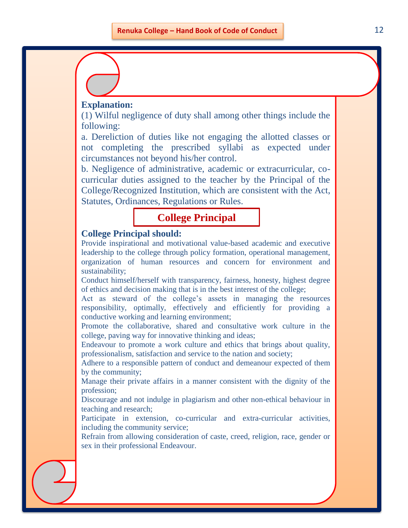#### **Explanation:**

(1) Wilful negligence of duty shall among other things include the following:

a. Dereliction of duties like not engaging the allotted classes or not completing the prescribed syllabi as expected under circumstances not beyond his/her control.

b. Negligence of administrative, academic or extracurricular, cocurricular duties assigned to the teacher by the Principal of the College/Recognized Institution, which are consistent with the Act, Statutes, Ordinances, Regulations or Rules.

#### **College Principal**

#### **College Principal should:**

Provide inspirational and motivational value-based academic and executive leadership to the college through policy formation, operational management, organization of human resources and concern for environment and sustainability;

Conduct himself/herself with transparency, fairness, honesty, highest degree of ethics and decision making that is in the best interest of the college;

Act as steward of the college's assets in managing the resources responsibility, optimally, effectively and efficiently for providing a conductive working and learning environment;

Promote the collaborative, shared and consultative work culture in the college, paving way for innovative thinking and ideas;

Endeavour to promote a work culture and ethics that brings about quality, professionalism, satisfaction and service to the nation and society;

Adhere to a responsible pattern of conduct and demeanour expected of them by the community;

Manage their private affairs in a manner consistent with the dignity of the profession;

Discourage and not indulge in plagiarism and other non-ethical behaviour in teaching and research;

Participate in extension, co-curricular and extra-curricular activities, including the community service;

Refrain from allowing consideration of caste, creed, religion, race, gender or sex in their professional Endeavour.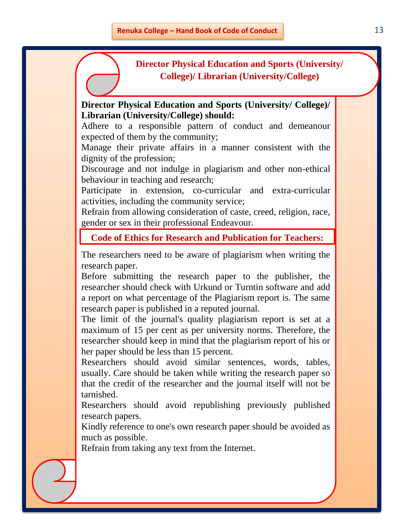#### **Director Physical Education and Sports (University/ College)/ Librarian (University/College)**

#### **Director Physical Education and Sports (University/ College)/ Librarian (University/College) should:**

Adhere to a responsible pattern of conduct and demeanour expected of them by the community;

Manage their private affairs in a manner consistent with the dignity of the profession;

Discourage and not indulge in plagiarism and other non-ethical behaviour in teaching and research;

Participate in extension, co-curricular and extra-curricular activities, including the community service;

Refrain from allowing consideration of caste, creed, religion, race, gender or sex in their professional Endeavour.

**Code of Ethics for Research and Publication for Teachers:**

The researchers need to be aware of plagiarism when writing the research paper.

Before submitting the research paper to the publisher, the researcher should check with Urkund or Turntin software and add a report on what percentage of the Plagiarism report is. The same research paper is published in a reputed journal.

The limit of the journal's quality plagiarism report is set at a maximum of 15 per cent as per university norms. Therefore, the researcher should keep in mind that the plagiarism report of his or her paper should be less than 15 percent.

Researchers should avoid similar sentences, words, tables, usually. Care should be taken while writing the research paper so that the credit of the researcher and the journal itself will not be tarnished.

Researchers should avoid republishing previously published research papers.

Kindly reference to one's own research paper should be avoided as much as possible.

Refrain from taking any text from the Internet.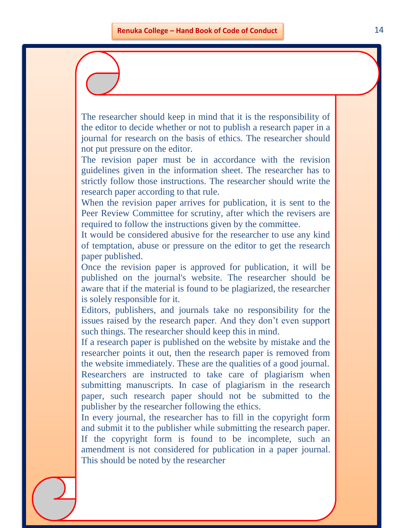The researcher should keep in mind that it is the responsibility of the editor to decide whether or not to publish a research paper in a journal for research on the basis of ethics. The researcher should not put pressure on the editor.

The revision paper must be in accordance with the revision guidelines given in the information sheet. The researcher has to strictly follow those instructions. The researcher should write the research paper according to that rule.

When the revision paper arrives for publication, it is sent to the Peer Review Committee for scrutiny, after which the revisers are required to follow the instructions given by the committee.

It would be considered abusive for the researcher to use any kind of temptation, abuse or pressure on the editor to get the research paper published.

Once the revision paper is approved for publication, it will be published on the journal's website. The researcher should be aware that if the material is found to be plagiarized, the researcher is solely responsible for it.

Editors, publishers, and journals take no responsibility for the issues raised by the research paper. And they don't even support such things. The researcher should keep this in mind.

If a research paper is published on the website by mistake and the researcher points it out, then the research paper is removed from the website immediately. These are the qualities of a good journal. Researchers are instructed to take care of plagiarism when submitting manuscripts. In case of plagiarism in the research paper, such research paper should not be submitted to the publisher by the researcher following the ethics.

In every journal, the researcher has to fill in the copyright form and submit it to the publisher while submitting the research paper. If the copyright form is found to be incomplete, such an amendment is not considered for publication in a paper journal. This should be noted by the researcher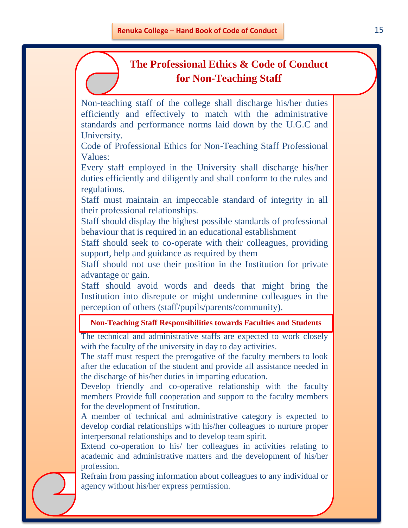#### **The Professional Ethics & Code of Conduct for Non-Teaching Staff**

Non-teaching staff of the college shall discharge his/her duties efficiently and effectively to match with the administrative standards and performance norms laid down by the U.G.C and University.

Code of Professional Ethics for Non-Teaching Staff Professional Values:

Every staff employed in the University shall discharge his/her duties efficiently and diligently and shall conform to the rules and regulations.

Staff must maintain an impeccable standard of integrity in all their professional relationships.

Staff should display the highest possible standards of professional behaviour that is required in an educational establishment

Staff should seek to co-operate with their colleagues, providing support, help and guidance as required by them

Staff should not use their position in the Institution for private advantage or gain.

Staff should avoid words and deeds that might bring the Institution into disrepute or might undermine colleagues in the perception of others (staff/pupils/parents/community).

#### **Non-Teaching Staff Responsibilities towards Faculties and Students**

The technical and administrative staffs are expected to work closely with the faculty of the university in day to day activities.

The staff must respect the prerogative of the faculty members to look after the education of the student and provide all assistance needed in the discharge of his/her duties in imparting education.

Develop friendly and co-operative relationship with the faculty members Provide full cooperation and support to the faculty members for the development of Institution.

A member of technical and administrative category is expected to develop cordial relationships with his/her colleagues to nurture proper interpersonal relationships and to develop team spirit.

Extend co-operation to his/ her colleagues in activities relating to academic and administrative matters and the development of his/her profession.

Refrain from passing information about colleagues to any individual or agency without his/her express permission.